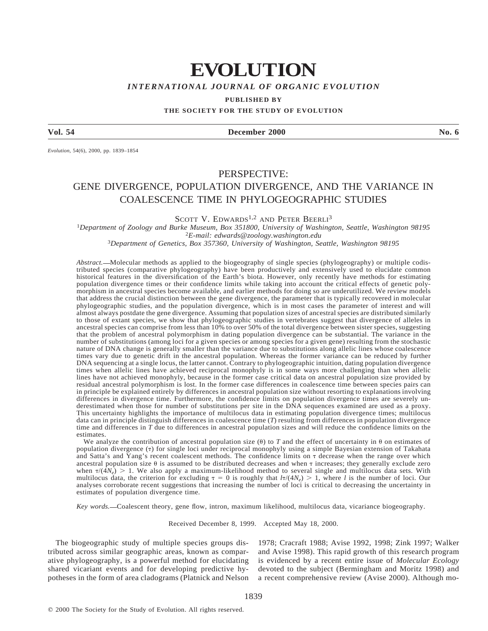# **EVOLUTION** *INTERNATIONAL JOURNAL OF ORGANIC EVOLUTION*

**PUBLISHED BY**

# **THE SOCIETY FOR THE STUDY OF EVOLUTION**

**Vol. 54 December 2000 No. 6**

*Evolution,* 54(6), 2000, pp. 1839–1854

# PERSPECTIVE:

# GENE DIVERGENCE, POPULATION DIVERGENCE, AND THE VARIANCE IN COALESCENCE TIME IN PHYLOGEOGRAPHIC STUDIES

SCOTT V. EDWARDS<sup>1,2</sup> AND PETER BEERLI<sup>3</sup>

<sup>1</sup>Department of Zoology and Burke Museum, Box 351800, University of Washington, Seattle, Washington 98195<br><sup>2</sup>E-mail: edwards@zoology.washington.edu<br><sup>3</sup>Department of Genetics, Box 357360, University of Washington, Seattle

*Abstract.* Molecular methods as applied to the biogeography of single species (phylogeography) or multiple codistributed species (comparative phylogeography) have been productively and extensively used to elucidate common historical features in the diversification of the Earth's biota. However, only recently have methods for estimating population divergence times or their confidence limits while taking into account the critical effects of genetic polymorphism in ancestral species become available, and earlier methods for doing so are underutilized. We review models that address the crucial distinction between the gene divergence, the parameter that is typically recovered in molecular phylogeographic studies, and the population divergence, which is in most cases the parameter of interest and will almost always postdate the gene divergence. Assuming that population sizes of ancestral species are distributed similarly to those of extant species, we show that phylogeographic studies in vertebrates suggest that divergence of alleles in ancestral species can comprise from less than 10% to over 50% of the total divergence between sister species, suggesting that the problem of ancestral polymorphism in dating population divergence can be substantial. The variance in the number of substitutions (among loci for a given species or among species for a given gene) resulting from the stochastic nature of DNA change is generally smaller than the variance due to substitutions along allelic lines whose coalescence times vary due to genetic drift in the ancestral population. Whereas the former variance can be reduced by further DNA sequencing at a single locus, the latter cannot. Contrary to phylogeographic intuition, dating population divergence times when allelic lines have achieved reciprocal monophyly is in some ways more challenging than when allelic lines have not achieved monophyly, because in the former case critical data on ancestral population size provided by residual ancestral polymorphism is lost. In the former case differences in coalescence time between species pairs can in principle be explained entirely by differences in ancestral population size without resorting to explanations involving differences in divergence time. Furthermore, the confidence limits on population divergence times are severely underestimated when those for number of substitutions per site in the DNA sequences examined are used as a proxy. This uncertainty highlights the importance of multilocus data in estimating population divergence times; multilocus data can in principle distinguish differences in coalescence time (*T*) resulting from differences in population divergence time and differences in *T* due to differences in ancestral population sizes and will reduce the confidence limits on the estimates.

We analyze the contribution of ancestral population size  $(\theta)$  to *T* and the effect of uncertainty in  $\theta$  on estimates of population divergence ( $\tau$ ) for single loci under reciprocal monophyly using a simple Bayesian extension of Takahata and Satta's and Yang's recent coalescent methods. The confidence limits on  $\tau$  decrease when the range over which ancestral population size  $\theta$  is assumed to be distributed decreases and when  $\tau$  increases; they generally exclude zero when  $\tau/(4N_e) > 1$ . We also apply a maximum-likelihood method to several single and multilocus data sets. With multilocus data, the criterion for excluding  $\tau = 0$  is roughly that  $l\tau/(4N_e) > 1$ , where l is the number of loci. Our analyses corroborate recent suggestions that increasing the number of loci is critical to decreasing t estimates of population divergence time.

*Key words.* Coalescent theory, gene flow, intron, maximum likelihood, multilocus data, vicariance biogeography.

Received December 8, 1999. Accepted May 18, 2000.

The biogeographic study of multiple species groups distributed across similar geographic areas, known as comparative phylogeography, is a powerful method for elucidating shared vicariant events and for developing predictive hypotheses in the form of area cladograms (Platnick and Nelson

1978; Cracraft 1988; Avise 1992, 1998; Zink 1997; Walker and Avise 1998). This rapid growth of this research program is evidenced by a recent entire issue of *Molecular Ecology* devoted to the subject (Bermingham and Moritz 1998) and a recent comprehensive review (Avise 2000). Although mo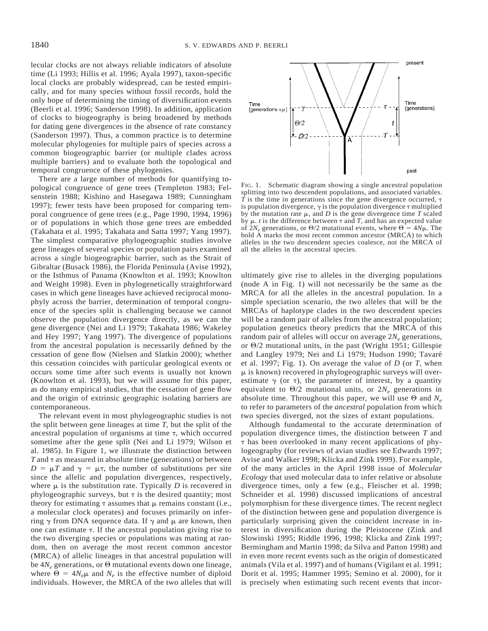lecular clocks are not always reliable indicators of absolute time (Li 1993; Hillis et al. 1996; Ayala 1997), taxon-specific local clocks are probably widespread, can be tested empirically, and for many species without fossil records, hold the only hope of determining the timing of diversification events (Beerli et al. 1996; Sanderson 1998). In addition, application of clocks to biogeography is being broadened by methods for dating gene divergences in the absence of rate constancy (Sanderson 1997). Thus, a common practice is to determine molecular phylogenies for multiple pairs of species across a common biogeographic barrier (or multiple clades across multiple barriers) and to evaluate both the topological and temporal congruence of these phylogenies.

There are a large number of methods for quantifying topological congruence of gene trees (Templeton 1983; Felsenstein 1988; Kishino and Hasegawa 1989; Cunningham 1997); fewer tests have been proposed for comparing temporal congruence of gene trees (e.g., Page 1990, 1994, 1996) or of populations in which those gene trees are embedded (Takahata et al. 1995; Takahata and Satta 1997; Yang 1997). The simplest comparative phylogeographic studies involve gene lineages of several species or population pairs examined across a single biogeographic barrier, such as the Strait of Gibraltar (Busack 1986), the Florida Peninsula (Avise 1992), or the Isthmus of Panama (Knowlton et al. 1993; Knowlton and Weight 1998). Even in phylogenetically straightforward cases in which gene lineages have achieved reciprocal monophyly across the barrier, determination of temporal congruence of the species split is challenging because we cannot observe the population divergence directly, as we can the gene divergence (Nei and Li 1979; Takahata 1986; Wakeley and Hey 1997; Yang 1997). The divergence of populations from the ancestral population is necessarily defined by the cessation of gene flow (Nielsen and Slatkin 2000); whether this cessation coincides with particular geological events or occurs some time after such events is usually not known (Knowlton et al. 1993), but we will assume for this paper, as do many empirical studies, that the cessation of gene flow and the origin of extrinsic geographic isolating barriers are contemporaneous.

The relevant event in most phylogeographic studies is not the split between gene lineages at time *T,* but the split of the ancestral population of organisms at time  $\tau$ , which occurred sometime after the gene split (Nei and Li 1979; Wilson et al. 1985). In Figure 1, we illustrate the distinction between  $T$  and  $\tau$  as measured in absolute time (generations) or between  $D = \mu T$  and  $\gamma = \mu \tau$ , the number of substitutions per site since the allelic and population divergences, respectively, where  $\mu$  is the substitution rate. Typically *D* is recovered in phylogeographic surveys, but  $\tau$  is the desired quantity; most theory for estimating  $\tau$  assumes that  $\mu$  remains constant (i.e., a molecular clock operates) and focuses primarily on inferring  $\gamma$  from DNA sequence data. If  $\gamma$  and  $\mu$  are known, then one can estimate  $\tau$ . If the ancestral population giving rise to the two diverging species or populations was mating at random, then on average the most recent common ancestor (MRCA) of allelic lineages in that ancestral population will be  $4N_e$  generations, or  $\Theta$  mutational events down one lineage, where  $\Theta = 4N_e\mu$  and  $N_e$  is the effective number of diploid individuals. However, the MRCA of the two alleles that will



FIG. 1. Schematic diagram showing a single ancestral population splitting into two descendent populations, and associated variables. *T* is the time in generations since the gene divergence occurred,  $\tau$ is population divergence,  $\gamma$  is the population divergence  $\tau$  multiplied by the mutation rate  $\mu$ , and *D* is the gene divergence time *T* scaled by  $\mu$ , *t* is the difference between  $\tau$  and *T*, and has an expected value of  $2N_e$  generations, or  $\Theta/2$  mutational events, where  $\Theta = 4N_{\rm H}$ . The bold A marks the most recent common ancestor (MRCA) to which alleles in the two descendent species coalesce, not the MRCA of all the alleles in the ancestral species.

ultimately give rise to alleles in the diverging populations (node A in Fig. 1) will not necessarily be the same as the MRCA for all the alleles in the ancestral population. In a simple speciation scenario, the two alleles that will be the MRCAs of haplotype clades in the two descendent species will be a random pair of alleles from the ancestral population; population genetics theory predicts that the MRCA of this random pair of alleles will occur on average  $2N_e$  generations, or Q/2 mutational units, in the past (Wright 1951; Gillespie and Langley 1979; Nei and Li 1979; Hudson 1990; Tavare´ et al. 1997; Fig. 1). On average the value of *D* (or *T,* when  $\mu$  is known) recovered in phylogeographic surveys will overestimate  $\gamma$  (or  $\tau$ ), the parameter of interest, by a quantity equivalent to  $\Theta/2$  mutational units, or  $2N_e$  generations in absolute time. Throughout this paper, we will use  $\Theta$  and  $N_e$ to refer to parameters of the *ancestral* population from which two species diverged, not the sizes of extant populations.

Although fundamental to the accurate determination of population divergence times, the distinction between *T* and  $\tau$  has been overlooked in many recent applications of phylogeography (for reviews of avian studies see Edwards 1997; Avise and Walker 1998; Klicka and Zink 1999). For example, of the many articles in the April 1998 issue of *Molecular Ecology* that used molecular data to infer relative or absolute divergence times, only a few (e.g., Fleischer et al. 1998; Schneider et al. 1998) discussed implications of ancestral polymorphism for these divergence times. The recent neglect of the distinction between gene and population divergence is particularly surprising given the coincident increase in interest in diversification during the Pleistocene (Zink and Slowinski 1995; Riddle 1996, 1998; Klicka and Zink 1997; Bermingham and Martin 1998; da Silva and Patton 1998) and in even more recent events such as the origin of domesticated animals (Vila et al. 1997) and of humans (Vigilant et al. 1991; Dorit et al. 1995; Hammer 1995; Semino et al. 2000), for it is precisely when estimating such recent events that incor-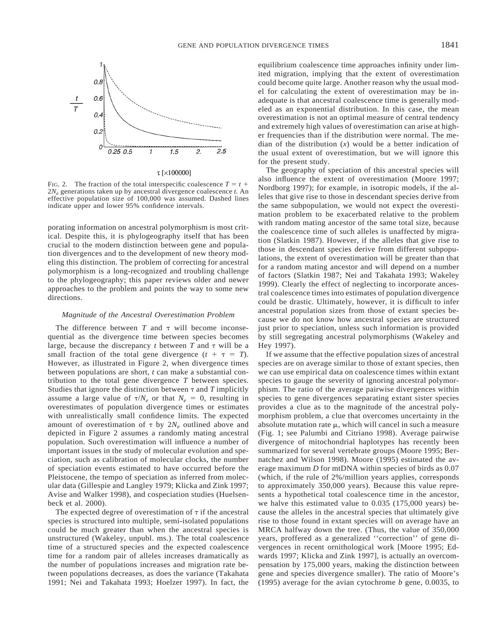

 $\tau$  [×100000]

FIG. 2. The fraction of the total interspecific coalescence  $T = t +$ 2*Ne* generations taken up by ancestral divergence coalescence *t.* An effective population size of 100,000 was assumed. Dashed lines indicate upper and lower 95% confidence intervals.

porating information on ancestral polymorphism is most critical. Despite this, it is phylogeography itself that has been crucial to the modern distinction between gene and population divergences and to the development of new theory modeling this distinction. The problem of correcting for ancestral polymorphism is a long-recognized and troubling challenge to the phylogeography; this paper reviews older and newer approaches to the problem and points the way to some new directions.

#### *Magnitude of the Ancestral Overestimation Problem*

The difference between  $T$  and  $\tau$  will become inconsequential as the divergence time between species becomes large, because the discrepancy  $t$  between  $T$  and  $\tau$  will be a small fraction of the total gene divergence  $(t + \tau = T)$ . However, as illustrated in Figure 2, when divergence times between populations are short, *t* can make a substantial contribution to the total gene divergence *T* between species. Studies that ignore the distinction between  $\tau$  and *T* implicitly assume a large value of  $\tau/N_e$  or that  $N_e = 0$ , resulting in overestimates of population divergence times or estimates with unrealistically small confidence limits. The expected amount of overestimation of  $\tau$  by  $2N_e$  outlined above and depicted in Figure 2 assumes a randomly mating ancestral population. Such overestimation will influence a number of important issues in the study of molecular evolution and speciation, such as calibration of molecular clocks, the number of speciation events estimated to have occurred before the Pleistocene, the tempo of speciation as inferred from molecular data (Gillespie and Langley 1979; Klicka and Zink 1997; Avise and Walker 1998), and cospeciation studies (Huelsenbeck et al. 2000).

The expected degree of overestimation of  $\tau$  if the ancestral species is structured into multiple, semi-isolated populations could be much greater than when the ancestral species is unstructured (Wakeley, unpubl. ms.). The total coalescence time of a structured species and the expected coalescence time for a random pair of alleles increases dramatically as the number of populations increases and migration rate between populations decreases, as does the variance (Takahata 1991; Nei and Takahata 1993; Hoelzer 1997). In fact, the

equilibrium coalescence time approaches infinity under limited migration, implying that the extent of overestimation could become quite large. Another reason why the usual model for calculating the extent of overestimation may be inadequate is that ancestral coalescence time is generally modeled as an exponential distribution. In this case, the mean overestimation is not an optimal measure of central tendency and extremely high values of overestimation can arise at higher frequencies than if the distribution were normal. The median of the distribution (*x*) would be a better indication of the usual extent of overestimation, but we will ignore this for the present study.

The geography of speciation of this ancestral species will also influence the extent of overestimation (Moore 1997; Nordborg 1997); for example, in isotropic models, if the alleles that give rise to those in descendant species derive from the same subpopulation, we would not expect the overestimation problem to be exacerbated relative to the problem with random mating ancestor of the same total size, because the coalescence time of such alleles is unaffected by migration (Slatkin 1987). However, if the alleles that give rise to those in descendant species derive from different subpopulations, the extent of overestimation will be greater than that for a random mating ancestor and will depend on a number of factors (Slatkin 1987; Nei and Takahata 1993; Wakeley 1999). Clearly the effect of neglecting to incorporate ancestral coalescence times into estimates of population divergence could be drastic. Ultimately, however, it is difficult to infer ancestral population sizes from those of extant species because we do not know how ancestral species are structured just prior to speciation, unless such information is provided by still segregating ancestral polymorphisms (Wakeley and Hey 1997).

If we assume that the effective population sizes of ancestral species are on average similar to those of extant species, then we can use empirical data on coalescence times within extant species to gauge the severity of ignoring ancestral polymorphism. The ratio of the average pairwise divergences within species to gene divergences separating extant sister species provides a clue as to the magnitude of the ancestral polymorphism problem, a clue that overcomes uncertainty in the absolute mutation rate  $\mu$ , which will cancel in such a measure (Fig. 1; see Palumbi and Citriano 1998). Average pairwise divergence of mitochondrial haplotypes has recently been summarized for several vertebrate groups (Moore 1995; Bernatchez and Wilson 1998). Moore (1995) estimated the average maximum *D* for mtDNA within species of birds as 0.07 (which, if the rule of 2%/million years applies, corresponds to approximately 350,000 years). Because this value represents a hypothetical total coalescence time in the ancestor, we halve this estimated value to 0.035 (175,000 years) because the alleles in the ancestral species that ultimately give rise to those found in extant species will on average have an MRCA halfway down the tree. (Thus, the value of 350,000 years, proffered as a generalized ''correction'' of gene divergences in recent ornithological work [Moore 1995; Edwards 1997; Klicka and Zink 1997], is actually an overcompensation by 175,000 years, making the distinction between gene and species divergence smaller). The ratio of Moore's (1995) average for the avian cytochrome *b* gene, 0.0035, to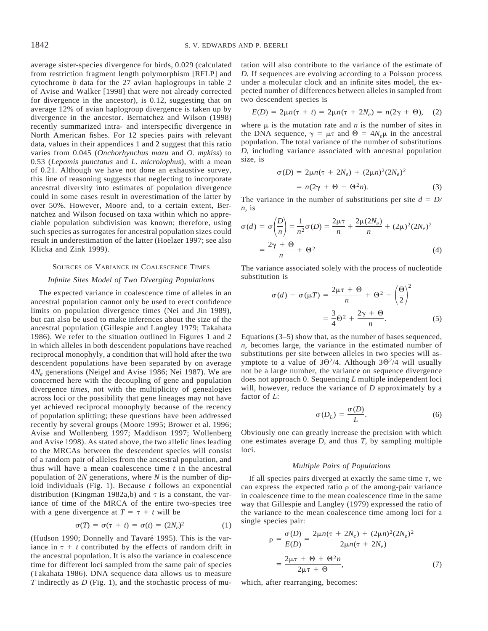average sister-species divergence for birds, 0.029 (calculated from restriction fragment length polymorphism [RFLP] and cytochrome *b* data for the 27 avian haplogroups in table 2 of Avise and Walker [1998] that were not already corrected for divergence in the ancestor), is 0.12, suggesting that on average 12% of avian haplogroup divergence is taken up by divergence in the ancestor. Bernatchez and Wilson (1998) recently summarized intra- and interspecific divergence in North American fishes. For 12 species pairs with relevant data, values in their appendices 1 and 2 suggest that this ratio varies from 0.045 (*Onchorhynchus mazu* and *O. mykiss*) to 0.53 (*Lepomis punctatus* and *L. microlophus*), with a mean of 0.21. Although we have not done an exhaustive survey, this line of reasoning suggests that neglecting to incorporate ancestral diversity into estimates of population divergence could in some cases result in overestimation of the latter by over 50%. However, Moore and, to a certain extent, Bernatchez and Wilson focused on taxa within which no appreciable population subdivision was known; therefore, using such species as surrogates for ancestral population sizes could result in underestimation of the latter (Hoelzer 1997; see also Klicka and Zink 1999).

#### SOURCES OF VARIANCE IN COALESCENCE TIMES

#### *Infinite Sites Model of Two Diverging Populations*

The expected variance in coalescence time of alleles in an ancestral population cannot only be used to erect confidence limits on population divergence times (Nei and Jin 1989), but can also be used to make inferences about the size of the ancestral population (Gillespie and Langley 1979; Takahata 1986). We refer to the situation outlined in Figures 1 and 2 in which alleles in both descendent populations have reached reciprocal monophyly, a condition that will hold after the two descendent populations have been separated by on average 4*Ne* generations (Neigel and Avise 1986; Nei 1987). We are concerned here with the decoupling of gene and population divergence *times,* not with the multiplicity of genealogies across loci or the possibility that gene lineages may not have yet achieved reciprocal monophyly because of the recency of population splitting; these questions have been addressed recently by several groups (Moore 1995; Brower et al. 1996; Avise and Wollenberg 1997; Maddison 1997; Wollenberg and Avise 1998). As stated above, the two allelic lines leading to the MRCAs between the descendent species will consist of a random pair of alleles from the ancestral population, and thus will have a mean coalescence time *t* in the ancestral population of 2*N* generations, where *N* is the number of diploid individuals (Fig. 1). Because *t* follows an exponential distribution (Kingman 1982a,b) and  $\tau$  is a constant, the variance of time of the MRCA of the entire two-species tree with a gene divergence at  $T = \tau + t$  will be

$$
\sigma(T) = \sigma(\tau + t) = \sigma(t) = (2N_e)^2 \tag{1}
$$

(Hudson 1990; Donnelly and Tavaré 1995). This is the variance in  $\tau + t$  contributed by the effects of random drift in the ancestral population. It is also the variance in coalescence time for different loci sampled from the same pair of species (Takahata 1986). DNA sequence data allows us to measure *T* indirectly as *D* (Fig. 1), and the stochastic process of mutation will also contribute to the variance of the estimate of *D.* If sequences are evolving according to a Poisson process under a molecular clock and an infinite sites model, the expected number of differences between alleles in sampled from two descendent species is

$$
E(D) = 2\mu n(\tau + t) = 2\mu n(\tau + 2N_e) = n(2\gamma + \Theta), \quad (2)
$$

where  $\mu$  is the mutation rate and *n* is the number of sites in the DNA sequence,  $\gamma = \mu \tau$  and  $\Theta = 4N_e\mu$  in the ancestral population. The total variance of the number of substitutions *D,* including variance associated with ancestral population size, is

$$
\sigma(D) = 2\mu n(\tau + 2N_e) + (2\mu n)^2 (2N_e)^2
$$

$$
= n(2\gamma + \Theta + \Theta^2 n). \tag{3}
$$

The variance in the number of substitutions per site  $d = D/$ *n,* is

$$
\sigma(d) = \sigma\left(\frac{D}{n}\right) = \frac{1}{n^2}\sigma(D) = \frac{2\mu\tau}{n} + \frac{2\mu(2N_e)}{n} + (2\mu)^2(2N_e)^2
$$

$$
= \frac{2\gamma + \Theta}{n} + \Theta^2
$$
(4)

The variance associated solely with the process of nucleotide substitution is

$$
\sigma(d) - \sigma(\mu) = \frac{2\mu\tau + \Theta}{n} + \Theta^2 - \left(\frac{\Theta}{2}\right)^2
$$

$$
= \frac{3}{4}\Theta^2 + \frac{2\gamma + \Theta}{n}.
$$
 (5)

Equations (3–5) show that, as the number of bases sequenced, *n,* becomes large, the variance in the estimated number of substitutions per site between alleles in two species will asymptote to a value of  $3\Theta^2/4$ . Although  $3\Theta^2/4$  will usually not be a large number, the variance on sequence divergence does not approach 0. Sequencing *L* multiple independent loci will, however, reduce the variance of *D* approximately by a factor of *L*:

$$
\sigma(D_L) = \frac{\sigma(D)}{L}.
$$
\n(6)

Obviously one can greatly increase the precision with which one estimates average *D*, and thus *T,* by sampling multiple loci.

# *Multiple Pairs of Populations*

If all species pairs diverged at exactly the same time  $\tau$ , we can express the expected ratio  $\rho$  of the among-pair variance in coalescence time to the mean coalescence time in the same way that Gillespie and Langley (1979) expressed the ratio of the variance to the mean coalescence time among loci for a single species pair:

$$
\rho = \frac{\sigma(D)}{E(D)} = \frac{2\mu n(\tau + 2N_e) + (2\mu n)^2 (2N_e)^2}{2\mu n(\tau + 2N_e)}
$$

$$
= \frac{2\mu \tau + \Theta + \Theta^2 n}{2\mu \tau + \Theta}, \tag{7}
$$

which, after rearranging, becomes: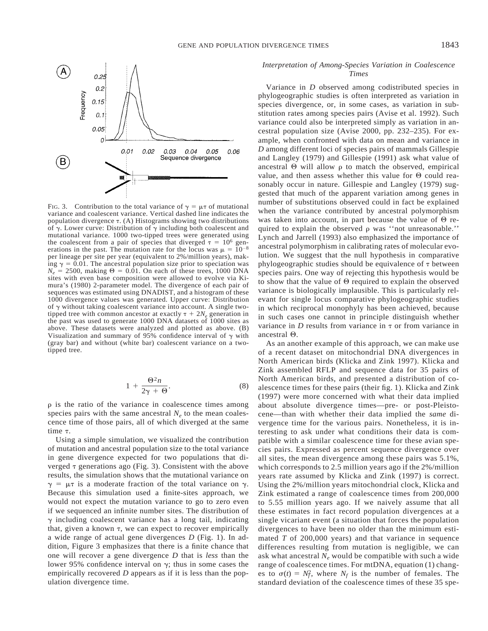

FIG. 3. Contribution to the total variance of  $\gamma = \mu \tau$  of mutational variance and coalescent variance. Vertical dashed line indicates the population divergence  $\tau$ . (A) Histograms showing two distributions of  $\gamma$ . Lower curve: Distribution of  $\gamma$  including both coalescent and mutational variance. 1000 two-tipped trees were generated using the coalescent from a pair of species that diverged  $\tau = 10^6$  generations in the past. The mutation rate for the locus was  $\mu = 10^{-8}$ per lineage per site per year (equivalent to 2%/million years), making  $\gamma = 0.01$ . The ancestral population size prior to speciation was  $N_e = 2500$ , making  $\Theta = 0.01$ . On each of these trees, 1000 DNA sites with even base composition were allowed to evolve via Kimura's (1980) 2-parameter model. The divergence of each pair of sequences was estimated using DNADIST, and a histogram of these 1000 divergence values was generated. Upper curve: Distribution of  $\gamma$  without taking coalescent variance into account. A single twotipped tree with common ancestor at exactly  $\tau + 2N_e$  generation in the past was used to generate 1000 DNA datasets of 1000 sites as above. These datasets were analyzed and plotted as above. (B) Visualization and summary of 95% confidence interval of  $\gamma$  with (gray bar) and without (white bar) coalescent variance on a twotipped tree.

$$
1 + \frac{\Theta^2 n}{2\gamma + \Theta}.\tag{8}
$$

 $\rho$  is the ratio of the variance in coalescence times among species pairs with the same ancestral  $N_e$  to the mean coalescence time of those pairs, all of which diverged at the same time  $\tau$ .

Using a simple simulation, we visualized the contribution of mutation and ancestral population size to the total variance in gene divergence expected for two populations that diverged  $\tau$  generations ago (Fig. 3). Consistent with the above results, the simulation shows that the mutational variance on  $\gamma = \mu \tau$  is a moderate fraction of the total variance on  $\gamma$ . Because this simulation used a finite-sites approach, we would not expect the mutation variance to go to zero even if we sequenced an infinite number sites. The distribution of  $\gamma$  including coalescent variance has a long tail, indicating that, given a known  $\tau$ , we can expect to recover empirically a wide range of actual gene divergences *D* (Fig. 1). In addition, Figure 3 emphasizes that there is a finite chance that one will recover a gene divergence *D* that is *less* than the lower 95% confidence interval on  $\gamma$ ; thus in some cases the empirically recovered *D* appears as if it is less than the population divergence time.

## *Interpretation of Among-Species Variation in Coalescence Times*

Variance in *D* observed among codistributed species in phylogeographic studies is often interpreted as variation in species divergence, or, in some cases, as variation in substitution rates among species pairs (Avise et al. 1992). Such variance could also be interpreted simply as variation in ancestral population size (Avise 2000, pp. 232–235). For example, when confronted with data on mean and variance in *D* among different loci of species pairs of mammals Gillespie and Langley (1979) and Gillespie (1991) ask what value of ancestral  $\Theta$  will allow  $\rho$  to match the observed, empirical value, and then assess whether this value for  $\Theta$  could reasonably occur in nature. Gillespie and Langley (1979) suggested that much of the apparent variation among genes in number of substitutions observed could in fact be explained when the variance contributed by ancestral polymorphism was taken into account, in part because the value of  $\Theta$  required to explain the observed  $\rho$  was "not unreasonable." Lynch and Jarrell (1993) also emphasized the importance of ancestral polymorphism in calibrating rates of molecular evolution. We suggest that the null hypothesis in comparative phylogeographic studies should be equivalence of  $\tau$  between species pairs. One way of rejecting this hypothesis would be to show that the value of  $\Theta$  required to explain the observed variance is biologically implausible. This is particularly relevant for single locus comparative phylogeographic studies in which reciprocal monophyly has been achieved, because in such cases one cannot in principle distinguish whether variance in  $D$  results from variance in  $\tau$  or from variance in ancestral Q.

As an another example of this approach, we can make use of a recent dataset on mitochondrial DNA divergences in North American birds (Klicka and Zink 1997). Klicka and Zink assembled RFLP and sequence data for 35 pairs of North American birds, and presented a distribution of coalescence times for these pairs (their fig. 1). Klicka and Zink (1997) were more concerned with what their data implied about absolute divergence times—pre- or post-Pleistocene—than with whether their data implied the *same* divergence time for the various pairs. Nonetheless, it is interesting to ask under what conditions their data is compatible with a similar coalescence time for these avian species pairs. Expressed as percent sequence divergence over all sites, the mean divergence among these pairs was 5.1%, which corresponds to 2.5 million years ago if the 2%/million years rate assumed by Klicka and Zink (1997) is correct. Using the 2%/million years mitochondrial clock, Klicka and Zink estimated a range of coalescence times from 200,000 to 5.55 million years ago. If we naively assume that all these estimates in fact record population divergences at a single vicariant event (a situation that forces the population divergences to have been no older than the minimum estimated *T* of 200,000 years) and that variance in sequence differences resulting from mutation is negligible, we can ask what ancestral  $N_e$  would be compatible with such a wide range of coalescence times. For mtDNA, equation (1) changes to  $\sigma(t) = N_f^2$ , where  $N_f$  is the number of females. The standard deviation of the coalescence times of these 35 spe-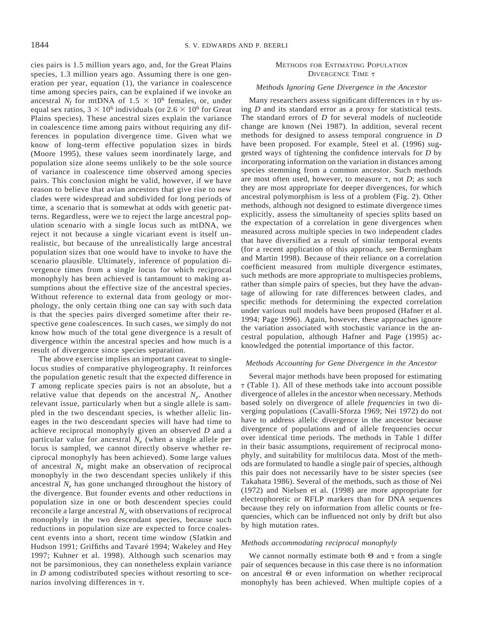cies pairs is 1.5 million years ago, and, for the Great Plains species, 1.3 million years ago. Assuming there is one generation per year, equation (1), the variance in coalescence time among species pairs, can be explained if we invoke an ancestral  $N_f$  for mtDNA of 1.5  $\times$  10<sup>6</sup> females, or, under equal sex ratios,  $3 \times 10^6$  individuals (or  $2.6 \times 10^6$  for Great Plains species). These ancestral sizes explain the variance in coalescence time among pairs without requiring any differences in population divergence time. Given what we know of long-term effective population sizes in birds (Moore 1995), these values seem inordinately large, and population size alone seems unlikely to be the sole source of variance in coalescence time observed among species pairs. This conclusion might be valid, however, if we have reason to believe that avian ancestors that give rise to new clades were widespread and subdivided for long periods of time, a scenario that is somewhat at odds with genetic patterns. Regardless, were we to reject the large ancestral population scenario with a single locus such as mtDNA, we reject it not because a single vicariant event is itself unrealistic, but because of the unrealistically large ancestral population sizes that one would have to invoke to have the scenario plausible. Ultimately, inference of population divergence times from a single locus for which reciprocal monophyly has been achieved is tantamount to making assumptions about the effective size of the ancestral species. Without reference to external data from geology or morphology, the only certain thing one can say with such data is that the species pairs diverged sometime after their respective gene coalescences. In such cases, we simply do not know how much of the total gene divergence is a result of divergence within the ancestral species and how much is a result of divergence since species separation.

The above exercise implies an important caveat to singlelocus studies of comparative phylogeography. It reinforces the population genetic result that the expected difference in *T* among replicate species pairs is not an absolute, but a relative value that depends on the ancestral  $N_e$ . Another relevant issue, particularly when but a single allele is sampled in the two descendant species, is whether allelic lineages in the two descendant species will have had time to achieve reciprocal monophyly given an observed *D* and a particular value for ancestral  $N_e$  (when a single allele per locus is sampled, we cannot directly observe whether reciprocal monophyly has been achieved). Some large values of ancestral *Ne* might make an observation of reciprocal monophyly in the two descendant species unlikely if this ancestral  $N_e$  has gone unchanged throughout the history of the divergence. But founder events and other reductions in population size in one or both descendent species could reconcile a large ancestral N<sub>e</sub> with observations of reciprocal monophyly in the two descendant species, because such reductions in population size are expected to force coalescent events into a short, recent time window (Slatkin and Hudson 1991; Griffiths and Tavaré 1994; Wakeley and Hey 1997; Kuhner et al. 1998). Although such scenarios may not be parsimonious, they can nonetheless explain variance in *D* among codistributed species without resorting to scenarios involving differences in  $\tau$ .

#### METHODS FOR ESTIMATING POPULATION DIVERGENCE TIME T

#### *Methods Ignoring Gene Divergence in the Ancestor*

Many researchers assess significant differences in  $\tau$  by using *D* and its standard error as a proxy for statistical tests. The standard errors of *D* for several models of nucleotide change are known (Nei 1987). In addition, several recent methods for designed to assess temporal congruence in *D* have been proposed. For example, Steel et al. (1996) suggested ways of tightening the confidence intervals for *D* by incorporating information on the variation in distances among species stemming from a common ancestor. Such methods are most often used, however, to measure  $\tau$ , not *D*; as such they are most appropriate for deeper divergences, for which ancestral polymorphism is less of a problem (Fig. 2). Other methods, although not designed to estimate divergence times explicitly, assess the simultaneity of species splits based on the expectation of a correlation in gene divergences when measured across multiple species in two independent clades that have diversified as a result of similar temporal events (for a recent application of this approach, see Bermingham and Martin 1998). Because of their reliance on a correlation coefficient measured from multiple divergence estimates, such methods are more appropriate to multispecies problems, rather than simple pairs of species, but they have the advantage of allowing for rate differences between clades, and specific methods for determining the expected correlation under various null models have been proposed (Hafner et al. 1994; Page 1996). Again, however, these approaches ignore the variation associated with stochastic variance in the ancestral population, although Hafner and Page (1995) acknowledged the potential importance of this factor.

#### *Methods Accounting for Gene Divergence in the Ancestor*

Several major methods have been proposed for estimating  $\tau$  (Table 1). All of these methods take into account possible divergence of alleles in the ancestor when necessary. Methods based solely on divergence of allele *frequencies* in two diverging populations (Cavalli-Sforza 1969; Nei 1972) do not have to address allelic divergence in the ancestor because divergence of populations and of allele frequencies occur over identical time periods. The methods in Table 1 differ in their basic assumptions, requirement of reciprocal monophyly, and suitability for multilocus data. Most of the methods are formulated to handle a single pair of species, although this pair does not necessarily have to be sister species (see Takahata 1986). Several of the methods, such as those of Nei (1972) and Nielsen et al. (1998) are more appropriate for electrophoretic or RFLP markers than for DNA sequences because they rely on information from allelic counts or frequencies, which can be influenced not only by drift but also by high mutation rates.

#### *Methods accommodating reciprocal monophyly*

We cannot normally estimate both  $\Theta$  and  $\tau$  from a single pair of sequences because in this case there is no information on ancestral  $\Theta$  or even information on whether reciprocal monophyly has been achieved. When multiple copies of a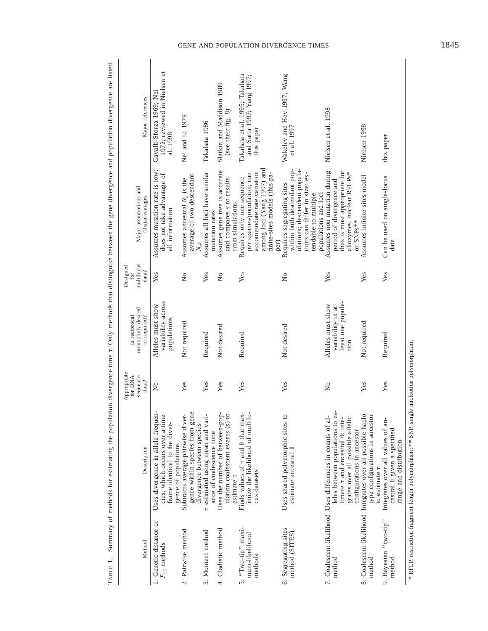| Method                                          | Description                                                                                                                                                                                                     | Appropriate<br>sequence<br>for DNA<br>$\text{data?}$ | monophyly desired<br>or required?<br>Is reciprocal                  | multilocus<br>Designed<br>data? | Major assumptions and<br>(dis)advantages                                                                                                                                   | Major references                                                           |
|-------------------------------------------------|-----------------------------------------------------------------------------------------------------------------------------------------------------------------------------------------------------------------|------------------------------------------------------|---------------------------------------------------------------------|---------------------------------|----------------------------------------------------------------------------------------------------------------------------------------------------------------------------|----------------------------------------------------------------------------|
| . Genetic distance or<br>$F_{ST}$ methods       | Uses divergence in allele frequen<br>cies, which occurs over a time<br>frame identical to the diver-<br>gence of populations                                                                                    | $\frac{1}{2}$                                        | variability across<br>Alleles must show<br>populations              | Yes                             | Assumes mutation rate is low;<br>does not take advantage of<br>all information                                                                                             | 1972; reviewed in Nielsen et<br>Cavalli-Sforza 1969; Nei<br>al. 1998       |
| 2. Pairwise method                              | Subtracts average pairwise diver-<br>gence within species from gene<br>divergence between species                                                                                                               | Yes                                                  | Not required                                                        | $\overline{R}$                  | average of two descendant<br>Assumes ancestral $N_e$ is the                                                                                                                | Nei and Li 1979                                                            |
| 3. Moment method                                | estimated using mean and vari-<br>ance of coalescence time<br>$\overline{a}$                                                                                                                                    | Yes                                                  | Required                                                            | Yes                             | Assumes all loci have similar<br>mutation rates                                                                                                                            | Takahata 1986                                                              |
| 4. Cladistic method                             | Uses the number of between-pop-<br>ulation coalescent events $(s)$ to<br>estimate $\tau$                                                                                                                        | Yes                                                  | Not desired                                                         | $\overline{R}$                  | Assumes gene tree is accurate<br>and compares s to results<br>from simulations                                                                                             | Slatkin and Maddison 1989<br>(see their fig. $8$ )                         |
| 5. "Two-tip" maxi-<br>mum-likelihood<br>methods | Finds values of $\tau$ and $\theta$ that max-<br>imize the likelihood of multilo-<br>cus datasets                                                                                                               | Yes                                                  | Required                                                            | Yes                             | among loci (Yang 1997) and<br>accommodate rate variation<br>per species/population; can<br>finite-sites models (this pa-<br>Requires only one sequence<br>per)             | Takahata et al. 1995; Takahata<br>and Satta 1997; Yang 1997;<br>this paper |
| 6. Segregating sites<br>method (SITES)          | Uses shared polymorphic sites to<br>estimate ancestral $\theta$                                                                                                                                                 | Yes                                                  | Not desired                                                         | $\tilde{z}$                     | ulations; descendent popula-<br>within both descendant pop-<br>tions can differ in size; ex-<br>Requires segregating sites<br>populations and loci<br>tendable to multiple | Wakeley and Hey 1997; Wang<br>et al. 1997                                  |
| method                                          | leles between populations to es<br>7. Coalescent likelihood Uses differences in counts of al-<br>grates over all possible allelic<br>timate $\tau$ and ancestral $\theta$ ; inte-<br>configurations in ancestor | $\tilde{\mathbf{z}}$                                 | least one popula-<br>Alleles must show<br>variability in at<br>tion | Yes                             | Assumes non mutation during<br>thus is most appropriate for<br>allozymes, nuclear RFLPs*<br>period of divergence and<br>or SNPs**                                          | Nielsen et al. 1998                                                        |
| method                                          | 8. Coalescent likelihood Integrates over all possible haplo-<br>type configurations in ancestor<br>to estimate $\tau$                                                                                           | Yes                                                  | Not required                                                        | Yes                             | Assumes infinite-sites model                                                                                                                                               | Nielsen 1998                                                               |
| 9. Bayesian "two-tip"<br>method                 | Integrates over all values of an-<br>cestral $\theta$ given a specified<br>range and distribution                                                                                                               | Yes                                                  | Required                                                            | Yes                             | Can be used on single-locus<br>data                                                                                                                                        | this paper                                                                 |
|                                                 | * RFLP, restriction fragment length polymorphism; ** SNP, single nucleotide polymorphism.                                                                                                                       |                                                      |                                                                     |                                 |                                                                                                                                                                            |                                                                            |

TABLE 1. Summary of methods for estimating the population divergence time  $\tau$ . Only methods that distinguish between the gene divergence and population divergence are listed. TABLE 1. Summary of methods for estimating the population divergence time t. Only methods that distinguish between the gene divergence and population divergence are listed.

GENE AND POPULATION DIVERGENCE TIMES 1845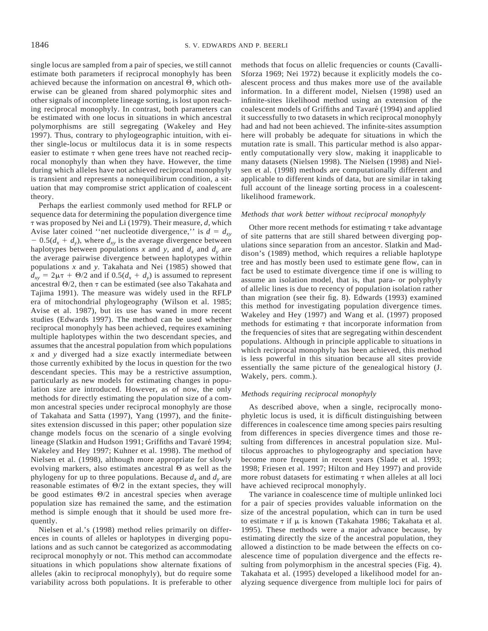single locus are sampled from a pair of species, we still cannot estimate both parameters if reciprocal monophyly has been achieved because the information on ancestral  $\Theta$ , which otherwise can be gleaned from shared polymorphic sites and other signals of incomplete lineage sorting, is lost upon reaching reciprocal monophyly. In contrast, both parameters can be estimated with one locus in situations in which ancestral polymorphisms are still segregating (Wakeley and Hey 1997). Thus, contrary to phylogeographic intuition, with either single-locus or multilocus data it is in some respects easier to estimate  $\tau$  when gene trees have not reached reciprocal monophyly than when they have. However, the time during which alleles have not achieved reciprocal monophyly is transient and represents a nonequilibirum condition, a situation that may compromise strict application of coalescent theory.

Perhaps the earliest commonly used method for RFLP or sequence data for determining the population divergence time t was proposed by Nei and Li (1979). Their measure, *d,* which Avise later coined "net nucleotide divergence," is  $d = d_{xy}$  $-0.5(d_x + d_y)$ , where  $d_{xy}$  is the average divergence between haplotypes between populations *x* and *y*, and  $d_x$  and  $d_y$  are the average pairwise divergence between haplotypes within populations *x* and *y*. Takahata and Nei (1985) showed that  $d_{xy} = 2\mu\tau + \Theta/2$  and if  $0.5(d_x + d_y)$  is assumed to represent ancestral  $\Theta/2$ , then  $\tau$  can be estimated (see also Takahata and Tajima 1991). The measure was widely used in the RFLP era of mitochondrial phylogeography (Wilson et al. 1985; Avise et al. 1987), but its use has waned in more recent studies (Edwards 1997). The method can be used whether reciprocal monophyly has been achieved, requires examining multiple haplotypes within the two descendant species, and assumes that the ancestral population from which populations *x* and *y* diverged had a size exactly intermediate between those currently exhibited by the locus in question for the two descendant species. This may be a restrictive assumption, particularly as new models for estimating changes in population size are introduced. However, as of now, the only methods for directly estimating the population size of a common ancestral species under reciprocal monophyly are those of Takahata and Satta (1997), Yang (1997), and the finitesites extension discussed in this paper; other population size change models focus on the scenario of a single evolving lineage (Slatkin and Hudson 1991; Griffiths and Tavaré 1994; Wakeley and Hey 1997; Kuhner et al. 1998). The method of Nielsen et al. (1998), although more appropriate for slowly evolving markers, also estimates ancestral  $\Theta$  as well as the phylogeny for up to three populations. Because  $d_x$  and  $d_y$  are reasonable estimates of  $\Theta/2$  in the extant species, they will be good estimates  $\Theta/2$  in ancestral species when average population size has remained the same, and the estimation method is simple enough that it should be used more frequently.

Nielsen et al.'s (1998) method relies primarily on differences in counts of alleles or haplotypes in diverging populations and as such cannot be categorized as accommodating reciprocal monophyly or not. This method can accommodate situations in which populations show alternate fixations of alleles (akin to reciprocal monophyly), but do require some variability across both populations. It is preferable to other methods that focus on allelic frequencies or counts (Cavalli-Sforza 1969; Nei 1972) because it explicitly models the coalescent process and thus makes more use of the available information. In a different model, Nielsen (1998) used an infinite-sites likelihood method using an extension of the coalescent models of Griffiths and Tavare´ (1994) and applied it successfully to two datasets in which reciprocal monophyly had and had not been achieved. The infinite-sites assumption here will probably be adequate for situations in which the mutation rate is small. This particular method is also apparently computationally very slow, making it inapplicable to many datasets (Nielsen 1998). The Nielsen (1998) and Nielsen et al. (1998) methods are computationally different and applicable to different kinds of data, but are similar in taking full account of the lineage sorting process in a coalescentlikelihood framework.

#### *Methods that work better without reciprocal monophyly*

Other more recent methods for estimating  $\tau$  take advantage of site patterns that are still shared between diverging populations since separation from an ancestor. Slatkin and Maddison's (1989) method, which requires a reliable haplotype tree and has mostly been used to estimate gene flow, can in fact be used to estimate divergence time if one is willing to assume an isolation model, that is, that para- or polyphyly of allelic lines is due to recency of population isolation rather than migration (see their fig. 8). Edwards (1993) examined this method for investigating population divergence times. Wakeley and Hey (1997) and Wang et al. (1997) proposed methods for estimating  $\tau$  that incorporate information from the frequencies of sites that are segregating within descendent populations. Although in principle applicable to situations in which reciprocal monophyly has been achieved, this method is less powerful in this situation because all sites provide essentially the same picture of the genealogical history (J. Wakely, pers. comm.).

#### *Methods requiring reciprocal monophyly*

As described above, when a single, reciprocally monophyletic locus is used, it is difficult distinguishing between differences in coalescence time among species pairs resulting from differences in species divergence times and those resulting from differences in ancestral population size. Multilocus approaches to phylogeography and speciation have become more frequent in recent years (Slade et al. 1993; 1998; Friesen et al. 1997; Hilton and Hey 1997) and provide more robust datasets for estimating  $\tau$  when alleles at all loci have achieved reciprocal monophyly.

The variance in coalescence time of multiple unlinked loci for a pair of species provides valuable information on the size of the ancestral population, which can in turn be used to estimate  $\tau$  if  $\mu$  is known (Takahata 1986; Takahata et al. 1995). These methods were a major advance because, by estimating directly the size of the ancestral population, they allowed a distinction to be made between the effects on coalescence time of population divergence and the effects resulting from polymorphism in the ancestral species (Fig. 4). Takahata et al. (1995) developed a likelihood model for analyzing sequence divergence from multiple loci for pairs of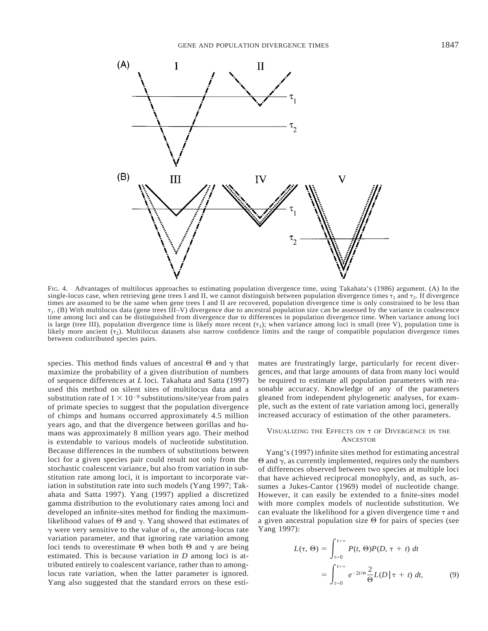

FIG. 4. Advantages of multilocus approaches to estimating population divergence time, using Takahata's (1986) argument. (A) In the single-locus case, when retrieving gene trees I and II, we cannot distinguish between population divergence times  $\tau_1$  and  $\tau_2$ . If divergence times are assumed to be the same when gene trees I and II are recovered, population divergence time is only constrained to be less than  $\tau_1$ . (B) With multilocus data (gene trees III–V) divergence due to ancestral population size can be assessed by the variance in coalescence time among loci and can be distinguished from divergence due to differences in population divergence time. When variance among loci is large (tree III), population divergence time is likely more recent  $(\tau_1)$ ; when variance among loci is small (tree V), population time is likely more ancient  $(\tau_2)$ . Multilocus datasets also narrow confidence limits and the range of compatible population divergence times between codistributed species pairs.

species. This method finds values of ancestral  $\Theta$  and  $\gamma$  that maximize the probability of a given distribution of numbers of sequence differences at *L* loci. Takahata and Satta (1997) used this method on silent sites of multilocus data and a substitution rate of  $1 \times 10^{-9}$  substitutions/site/year from pairs of primate species to suggest that the population divergence of chimps and humans occurred approximately 4.5 million years ago, and that the divergence between gorillas and humans was approximately 8 million years ago. Their method is extendable to various models of nucleotide substitution. Because differences in the numbers of substitutions between loci for a given species pair could result not only from the stochastic coalescent variance, but also from variation in substitution rate among loci, it is important to incorporate variation in substitution rate into such models (Yang 1997; Takahata and Satta 1997). Yang (1997) applied a discretized gamma distribution to the evolutionary rates among loci and developed an infinite-sites method for finding the maximumlikelihood values of  $\Theta$  and  $\gamma$ . Yang showed that estimates of  $\gamma$  were very sensitive to the value of  $\alpha$ , the among-locus rate variation parameter, and that ignoring rate variation among loci tends to overestimate  $\Theta$  when both  $\Theta$  and  $\gamma$  are being estimated. This is because variation in *D* among loci is attributed entirely to coalescent variance, rather than to amonglocus rate variation, when the latter parameter is ignored. Yang also suggested that the standard errors on these estimates are frustratingly large, particularly for recent divergences, and that large amounts of data from many loci would be required to estimate all population parameters with reasonable accuracy. Knowledge of any of the parameters gleaned from independent phylogenetic analyses, for example, such as the extent of rate variation among loci, generally increased accuracy of estimation of the other parameters.

#### VISUALIZING THE EFFECTS ON  $\tau$  of Divergence in the **ANCESTOR**

Yang's (1997) infinite sites method for estimating ancestral  $\Theta$  and  $\gamma$ , as currently implemented, requires only the numbers of differences observed between two species at multiple loci that have achieved reciprocal monophyly, and, as such, assumes a Jukes-Cantor (1969) model of nucleotide change. However, it can easily be extended to a finite-sites model with more complex models of nucleotide substitution. We can evaluate the likelihood for a given divergence time  $\tau$  and a given ancestral population size  $\Theta$  for pairs of species (see Yang 1997):

$$
L(\tau, \Theta) = \int_{t=0}^{t=\infty} P(t, \Theta) P(D, \tau + t) dt
$$
  
= 
$$
\int_{t=0}^{t=\infty} e^{-2t/\Theta} \frac{2}{\Theta} L(D | \tau + t) dt,
$$
 (9)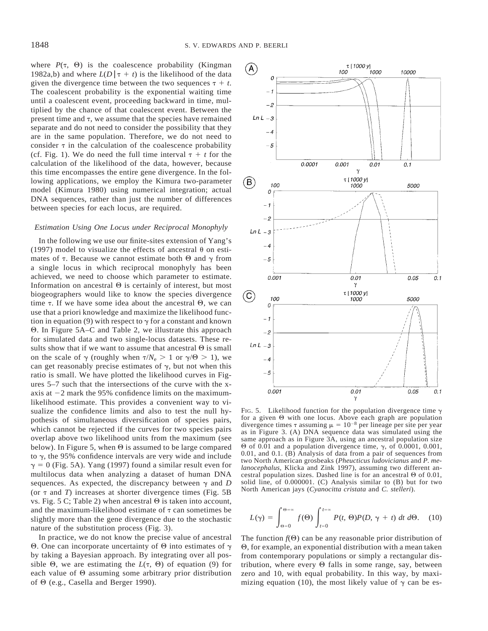where  $P(\tau, \Theta)$  is the coalescence probability (Kingman 1982a,b) and where  $L(D | \tau + t)$  is the likelihood of the data given the divergence time between the two sequences  $\tau + t$ . The coalescent probability is the exponential waiting time until a coalescent event, proceeding backward in time, multiplied by the chance of that coalescent event. Between the present time and  $\tau$ , we assume that the species have remained separate and do not need to consider the possibility that they are in the same population. Therefore, we do not need to consider  $\tau$  in the calculation of the coalescence probability (cf. Fig. 1). We do need the full time interval  $\tau + t$  for the calculation of the likelihood of the data, however, because this time encompasses the entire gene divergence. In the following applications, we employ the Kimura two-parameter model (Kimura 1980) using numerical integration; actual DNA sequences, rather than just the number of differences between species for each locus, are required.

#### *Estimation Using One Locus under Reciprocal Monophyly*

In the following we use our finite-sites extension of Yang's (1997) model to visualize the effects of ancestral  $\theta$  on estimates of  $\tau$ . Because we cannot estimate both  $\Theta$  and  $\gamma$  from a single locus in which reciprocal monophyly has been achieved, we need to choose which parameter to estimate. Information on ancestral  $\Theta$  is certainly of interest, but most biogeographers would like to know the species divergence time  $\tau$ . If we have some idea about the ancestral  $\Theta$ , we can use that a priori knowledge and maximize the likelihood function in equation (9) with respect to  $\gamma$  for a constant and known Q. In Figure 5A–C and Table 2, we illustrate this approach for simulated data and two single-locus datasets. These results show that if we want to assume that ancestral  $\Theta$  is small on the scale of  $\gamma$  (roughly when  $\tau/N_e > 1$  or  $\gamma/\Theta > 1$ ), we can get reasonably precise estimates of  $\gamma$ , but not when this ratio is small. We have plotted the likelihood curves in Figures 5–7 such that the intersections of the curve with the xaxis at  $-2$  mark the 95% confidence limits on the maximumlikelihood estimate. This provides a convenient way to visualize the confidence limits and also to test the null hypothesis of simultaneous diversification of species pairs, which cannot be rejected if the curves for two species pairs overlap above two likelihood units from the maximum (see below). In Figure 5, when  $\Theta$  is assumed to be large compared to  $\gamma$ , the 95% confidence intervals are very wide and include  $\gamma = 0$  (Fig. 5A). Yang (1997) found a similar result even for multilocus data when analyzing a dataset of human DNA sequences. As expected, the discrepancy between  $\gamma$  and *D* (or  $\tau$  and *T*) increases at shorter divergence times (Fig. 5B) vs. Fig. 5 C; Table 2) when ancestral  $\Theta$  is taken into account, and the maximum-likelihood estimate of  $\tau$  can sometimes be slightly more than the gene divergence due to the stochastic nature of the substitution process (Fig. 3).

In practice, we do not know the precise value of ancestral  $\Theta$ . One can incorporate uncertainty of  $\Theta$  into estimates of  $\gamma$ by taking a Bayesian approach. By integrating over all possible  $\Theta$ , we are estimating the  $L(\tau, \Theta)$  of equation (9) for each value of  $\Theta$  assuming some arbitrary prior distribution of  $\Theta$  (e.g., Casella and Berger 1990).



FIG. 5. Likelihood function for the population divergence time  $\gamma$ for a given  $\Theta$  with one locus. Above each graph are population divergence times  $\tau$  assuming  $\mu = 10^{-8}$  per lineage per site per year as in Figure 3. (A) DNA sequence data was simulated using the same approach as in Figure 3A, using an ancestral population size  $\Theta$  of 0.01 and a population divergence time,  $\gamma$ , of 0.0001, 0.001, 0.01, and 0.1. (B) Analysis of data from a pair of sequences from two North American grosbeaks (*Pheucticus ludovicianus* and *P. melanocephalus,* Klicka and Zink 1997), assuming two different ancestral population sizes. Dashed line is for an ancestral  $\Theta$  of 0.01, solid line, of 0.000001. (C) Analysis similar to (B) but for two North American jays (*Cyanocitta cristata* and *C. stelleri*).

$$
L(\gamma) = \int_{\Theta=0}^{\Theta=\infty} f(\Theta) \int_{t=0}^{t=\infty} P(t, \Theta) P(D, \gamma + t) dt d\Theta.
$$
 (10)

The function  $f(\Theta)$  can be any reasonable prior distribution of Q, for example, an exponential distribution with a mean taken from contemporary populations or simply a rectangular distribution, where every  $\Theta$  falls in some range, say, between zero and 10, with equal probability. In this way, by maximizing equation (10), the most likely value of  $\gamma$  can be es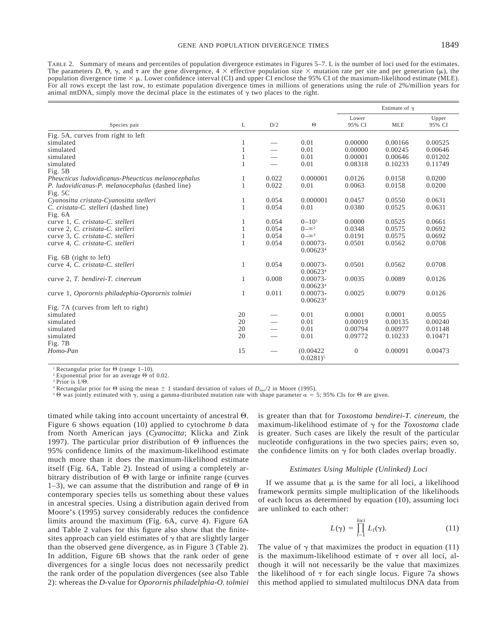TABLE 2. Summary of means and percentiles of population divergence estimates in Figures 5–7. L is the number of loci used for the estimates. The parameters *D*,  $\Theta$ ,  $\gamma$ , and  $\tau$  are the gene divergence,  $4 \times$  effective population size  $\times$  mutation rate per site and per generation ( $\mu$ ), the population divergence time  $\times \mu$ . Lower confidence interval (CI) and upper CI enclose the 95% CI of the maximum-likelihood estimate (MLE). For all rows except the last row, to estimate population divergence times in millions of generations using the rule of 2%/million years for animal mtDNA, simply move the decimal place in the estimates of  $\gamma$  two places to the right.

|                                                    |              |                          |                       |                  | Estimate of $\gamma$ |                 |  |
|----------------------------------------------------|--------------|--------------------------|-----------------------|------------------|----------------------|-----------------|--|
| Species pair                                       | L            | D/2                      | $\Theta$              | Lower<br>95% CI  | <b>MLE</b>           | Upper<br>95% CI |  |
| Fig. 5A, curves from right to left                 |              |                          |                       |                  |                      |                 |  |
| simulated                                          | 1            |                          | 0.01                  | 0.00000          | 0.00166              | 0.00525         |  |
| simulated                                          | $\mathbf{1}$ | $\overline{\phantom{0}}$ | 0.01                  | 0.00000          | 0.00245              | 0.00646         |  |
| simulated                                          | 1            | $\overline{\phantom{0}}$ | 0.01                  | 0.00001          | 0.00646              | 0.01202         |  |
| simulated                                          | $\mathbf{1}$ |                          | 0.01                  | 0.08318          | 0.10233              | 0.11749         |  |
| Fig. 5B                                            |              |                          |                       |                  |                      |                 |  |
| Pheucticus ludovidicanus-Pheucticus melanocephalus | 1            | 0.022                    | 0.000001              | 0.0126           | 0.0158               | 0.0200          |  |
| P. ludovidicanus-P. melanocephalus (dashed line)   | $\mathbf{1}$ | 0.022                    | 0.01                  | 0.0063           | 0.0158               | 0.0200          |  |
| Fig. 5C                                            |              |                          |                       |                  |                      |                 |  |
| Cyanositta cristata-Cyanositta stelleri            | 1            | 0.054                    | 0.000001              | 0.0457           | 0.0550               | 0.0631          |  |
| C. cristata-C. stelleri (dashed line)              | $\mathbf{1}$ | 0.054                    | 0.01                  | 0.0380           | 0.0525               | 0.0631          |  |
| Fig. 6A                                            |              |                          |                       |                  |                      |                 |  |
| curve 1, C. cristata-C. stelleri                   | 1            | 0.054                    | $0 - 101$             | 0.0000           | 0.0525               | 0.0661          |  |
| curve 2, C. cristata-C. stelleri                   | 1            | 0.054                    | $0 - \infty^2$        | 0.0348           | 0.0575               | 0.0692          |  |
| curve 3, C. cristata-C. stelleri                   | 1            | 0.054                    | $0 - \infty^3$        | 0.0191           | 0.0575               | 0.0692          |  |
| curve 4, C. cristata-C. stelleri                   | $\mathbf{1}$ | 0.054                    | $0.00073 -$           | 0.0501           | 0.0562               | 0.0708          |  |
|                                                    |              |                          | 0.006234              |                  |                      |                 |  |
| Fig. 6B (right to left)                            |              |                          |                       |                  |                      |                 |  |
| curve 4, C. cristata-C. stelleri                   | 1            | 0.054                    | $0.00073 -$           | 0.0501           | 0.0562               | 0.0708          |  |
|                                                    |              |                          | 0.006234              |                  |                      |                 |  |
| curve 2, T. bendirei-T. cinereum                   | 1            | 0.008                    | $0.00073 -$           | 0.0035           | 0.0089               | 0.0126          |  |
|                                                    |              |                          | 0.006234              |                  |                      |                 |  |
| curve 1, Oporornis philadephia-Oporornis tolmiei   | $\mathbf{1}$ | 0.011                    | $0.00073 -$           | 0.0025           | 0.0079               | 0.0126          |  |
|                                                    |              |                          | 0.006234              |                  |                      |                 |  |
| Fig. 7A (curves from left to right)                |              |                          |                       |                  |                      |                 |  |
| simulated                                          | 20           |                          | 0.01                  | 0.0001           | 0.0001               | 0.0055          |  |
| simulated                                          | 20           | $\overline{\phantom{0}}$ | 0.01                  | 0.00019          | 0.00135              | 0.00240         |  |
| simulated                                          | 20           |                          | 0.01                  | 0.00794          | 0.00977              | 0.01148         |  |
|                                                    | 20           |                          | 0.01                  | 0.09772          | 0.10233              |                 |  |
| simulated                                          |              |                          |                       |                  |                      | 0.10471         |  |
| Fig. 7B                                            |              |                          |                       |                  |                      |                 |  |
| Homo-Pan                                           | 15           |                          | (0.00422)             | $\boldsymbol{0}$ | 0.00091              | 0.00473         |  |
|                                                    |              |                          | $0.0281$ <sup>5</sup> |                  |                      |                 |  |

<sup>1</sup> Rectangular prior for  $\Theta$  (range 1–10).

 $2$  Exponential prior for an average  $\Theta$  of 0.02.

<sup>3</sup> Prior is 1/ $\Theta$ .<br><sup>4</sup> Rectangular prior for  $\Theta$  using the mean  $\pm$  1 standard deviation of values of  $D_{\text{max}}/2$  in Moore (1995).

<sup>5</sup>  $\Theta$  was jointly estimated with  $\gamma$ , using a gamma-distributed mutation rate with shape parameter  $\alpha = 5$ ; 95% CIs for  $\Theta$  are given.

timated while taking into account uncertainty of ancestral Q. Figure 6 shows equation (10) applied to cytochrome *b* data from North American jays (*Cyanocitta*; Klicka and Zink 1997). The particular prior distribution of  $\Theta$  influences the 95% confidence limits of the maximum-likelihood estimate much more than it does the maximum-likelihood estimate itself (Fig. 6A, Table 2). Instead of using a completely arbitrary distribution of  $\Theta$  with large or infinite range (curves 1–3), we can assume that the distribution and range of  $\Theta$  in contemporary species tells us something about these values in ancestral species. Using a distribution again derived from Moore's (1995) survey considerably reduces the confidence limits around the maximum (Fig. 6A, curve 4). Figure 6A and Table 2 values for this figure also show that the finitesites approach can yield estimates of  $\gamma$  that are slightly larger than the observed gene divergence, as in Figure 3 (Table 2). In addition, Figure 6B shows that the rank order of gene divergences for a single locus does not necessarily predict the rank order of the population divergences (see also Table 2): whereas the *D*-value for *Oporornis philadelphia-O. tolmiei*

is greater than that for *Toxostoma bendirei-T. cinereum,* the maximum-likelihood estimate of  $\gamma$  for the *Toxostoma* clade is greater. Such cases are likely the result of the particular nucleotide configurations in the two species pairs; even so, the confidence limits on  $\gamma$  for both clades overlap broadly.

#### *Estimates Using Multiple (Unlinked) Loci*

If we assume that  $\mu$  is the same for all loci, a likelihood framework permits simple multiplication of the likelihoods of each locus as determined by equation (10), assuming loci are unlinked to each other:

$$
L(\gamma) = \prod_{l=1}^{loci} L_l(\gamma). \tag{11}
$$

The value of  $\gamma$  that maximizes the product in equation (11) is the maximum-likelihood estimate of  $\tau$  over all loci, although it will not necessarily be the value that maximizes the likelihood of  $\tau$  for each single locus. Figure 7a shows this method applied to simulated multilocus DNA data from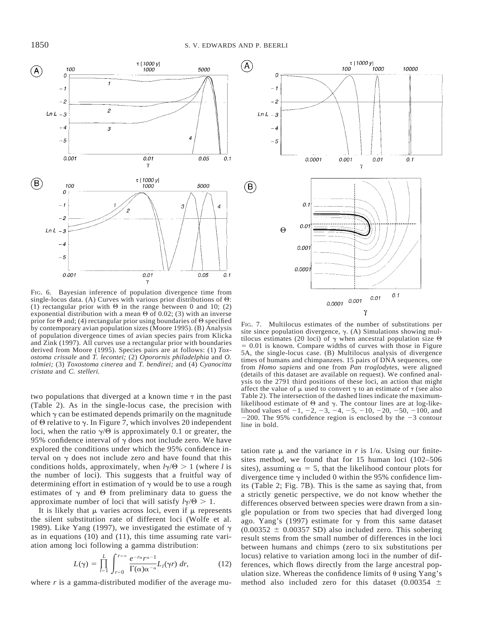

FIG. 6. Bayesian inference of population divergence time from single-locus data. (A) Curves with various prior distributions of  $\Theta$ : (1) rectangular prior with  $\Theta$  in the range between 0 and 10; (2) exponential distribution with a mean  $\Theta$  of 0.02; (3) with an inverse prior for  $\Theta$  and; (4) rectangular prior using boundaries of  $\Theta$  specified by contemporary avian population sizes (Moore 1995). (B) Analysis of population divergence times of avian species pairs from Klicka and Zink (1997). All curves use a rectangular prior with boundaries derived from Moore (1995). Species pairs are at follows: (1) *Toxostoma crissale* and *T. lecontei;* (2) *Oporornis philadelphia* and *O. tolmiei;* (3) *Toxostoma cinerea* and *T. bendirei;* and (4) *Cyanocitta cristata* and *C. stelleri.*

two populations that diverged at a known time  $\tau$  in the past (Table 2). As in the single-locus case, the precision with which  $\gamma$  can be estimated depends primarily on the magnitude of  $\Theta$  relative to  $\gamma$ . In Figure 7, which involves 20 independent loci, when the ratio  $\gamma/\Theta$  is approximately 0.1 or greater, the 95% confidence interval of  $\gamma$  does not include zero. We have explored the conditions under which the 95% confidence interval on  $\gamma$  does not include zero and have found that this conditions holds, approximately, when  $l\gamma/\Theta > 1$  (where *l* is the number of loci). This suggests that a fruitful way of determining effort in estimation of  $\gamma$  would be to use a rough estimates of  $\gamma$  and  $\Theta$  from preliminary data to guess the approximate number of loci that will satisfy  $l\gamma/\Theta > 1$ .

It is likely that  $\mu$  varies across loci, even if  $\mu$  represents the silent substitution rate of different loci (Wolfe et al. 1989). Like Yang (1997), we investigated the estimate of  $\gamma$ as in equations (10) and (11), this time assuming rate variation among loci following a gamma distribution:

$$
L(\gamma) = \prod_{l=1}^{L} \int_{r=0}^{r=\infty} \frac{e^{-r\alpha} r^{\alpha-1}}{\Gamma(\alpha) \alpha^{-\alpha}} L_l(\gamma r) \, dr,\tag{12}
$$

where *r* is a gamma-distributed modifier of the average mu-



FIG. 7. Multilocus estimates of the number of substitutions per site since population divergence,  $\gamma$ . (A) Simulations showing multilocus estimates (20 loci) of  $\gamma$  when ancestral population size  $\Theta$  $= 0.01$  is known. Compare widths of curves with those in Figure 5A, the single-locus case. (B) Multilocus analysis of divergence times of humans and chimpanzees. 15 pairs of DNA sequences, one from *Homo sapiens* and one from *Pan troglodytes,* were aligned (details of this dataset are available on request). We confined analysis to the 2791 third positions of these loci, an action that might affect the value of  $\mu$  used to convert  $\gamma$  to an estimate of  $\tau$  (see also Table 2). The intersection of the dashed lines indicate the maximumlikelihood estimate of  $\Theta$  and  $\gamma$ . The contour lines are at log-likelihood values of  $-1$ ,  $-2$ ,  $-3$ ,  $-4$ ,  $-5$ ,  $-10$ ,  $-20$ ,  $-50$ ,  $-100$ , and  $-200$ . The 95% confidence region is enclosed by the  $-3$  contour line in bold.

tation rate  $\mu$  and the variance in *r* is  $1/\alpha$ . Using our finitesites method, we found that for 15 human loci (102–506 sites), assuming  $\alpha = 5$ , that the likelihood contour plots for divergence time  $\gamma$  included 0 within the 95% confidence limits (Table 2; Fig. 7B). This is the same as saying that, from a strictly genetic perspective, we do not know whether the differences observed between species were drawn from a single population or from two species that had diverged long ago. Yang's (1997) estimate for  $\gamma$  from this same dataset  $(0.00352 \pm 0.00357$  SD) also included zero. This sobering result stems from the small number of differences in the loci between humans and chimps (zero to six substitutions per locus) relative to variation among loci in the number of differences, which flows directly from the large ancestral population size. Whereas the confidence limits of  $\theta$  using Yang's method also included zero for this dataset (0.00354  $\pm$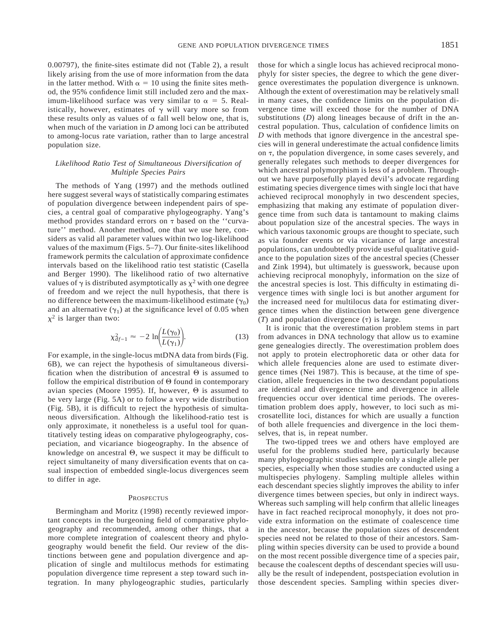0.00797), the finite-sites estimate did not (Table 2), a result likely arising from the use of more information from the data in the latter method. With  $\alpha = 10$  using the finite sites method, the 95% confidence limit still included zero and the maximum-likelihood surface was very similar to  $\alpha = 5$ . Realistically, however, estimates of  $\gamma$  will vary more so from these results only as values of  $\alpha$  fall well below one, that is, when much of the variation in *D* among loci can be attributed to among-locus rate variation, rather than to large ancestral population size.

## *Likelihood Ratio Test of Simultaneous Diversification of Multiple Species Pairs*

The methods of Yang (1997) and the methods outlined here suggest several ways of statistically comparing estimates of population divergence between independent pairs of species, a central goal of comparative phylogeography. Yang's method provides standard errors on  $\tau$  based on the "curvature'' method. Another method, one that we use here, considers as valid all parameter values within two log-likelihood values of the maximum (Figs. 5–7). Our finite-sites likelihood framework permits the calculation of approximate confidence intervals based on the likelihood ratio test statistic (Casella and Berger 1990). The likelihood ratio of two alternative values of  $\gamma$  is distributed asymptotically as  $\chi^2$  with one degree of freedom and we reject the null hypothesis, that there is no difference between the maximum-likelihood estimate  $(\gamma_0)$ and an alternative  $(\gamma_1)$  at the significance level of 0.05 when  $\chi^2$  is larger than two:

$$
\chi_{df=1}^2 \approx -2 \, \ln \bigg( \frac{L(\gamma_0)}{L(\gamma_1)} \bigg). \tag{13}
$$

For example, in the single-locus mtDNA data from birds (Fig. 6B), we can reject the hypothesis of simultaneous diversification when the distribution of ancestral  $\Theta$  is assumed to follow the empirical distribution of  $\Theta$  found in contemporary avian species (Moore 1995). If, however,  $\Theta$  is assumed to be very large (Fig. 5A) or to follow a very wide distribution (Fig. 5B), it is difficult to reject the hypothesis of simultaneous diversification. Although the likelihood-ratio test is only approximate, it nonetheless is a useful tool for quantitatively testing ideas on comparative phylogeography, cospeciation, and vicariance biogeography. In the absence of knowledge on ancestral  $\Theta$ , we suspect it may be difficult to reject simultaneity of many diversification events that on casual inspection of embedded single-locus divergences seem to differ in age.

#### **PROSPECTUS**

Bermingham and Moritz (1998) recently reviewed important concepts in the burgeoning field of comparative phylogeography and recommended, among other things, that a more complete integration of coalescent theory and phylogeography would benefit the field. Our review of the distinctions between gene and population divergence and application of single and multilocus methods for estimating population divergence time represent a step toward such integration. In many phylogeographic studies, particularly

those for which a single locus has achieved reciprocal monophyly for sister species, the degree to which the gene divergence overestimates the population divergence is unknown. Although the extent of overestimation may be relatively small in many cases, the confidence limits on the population divergence time will exceed those for the number of DNA substitutions (*D*) along lineages because of drift in the ancestral population. Thus, calculation of confidence limits on *D* with methods that ignore divergence in the ancestral species will in general underestimate the actual confidence limits on  $\tau$ , the population divergence, in some cases severely, and generally relegates such methods to deeper divergences for which ancestral polymorphism is less of a problem. Throughout we have purposefully played devil's advocate regarding estimating species divergence times with single loci that have achieved reciprocal monophyly in two descendent species, emphasizing that making any estimate of population divergence time from such data is tantamount to making claims about population size of the ancestral species. The ways in which various taxonomic groups are thought to speciate, such as via founder events or via vicariance of large ancestral populations, can undoubtedly provide useful qualitative guidance to the population sizes of the ancestral species (Chesser and Zink 1994), but ultimately is guesswork, because upon achieving reciprocal monophyly, information on the size of the ancestral species is lost. This difficulty in estimating divergence times with single loci is but another argument for the increased need for multilocus data for estimating divergence times when the distinction between gene divergence (*T*) and population divergence  $(\tau)$  is large.

It is ironic that the overestimation problem stems in part from advances in DNA technology that allow us to examine gene genealogies directly. The overestimation problem does not apply to protein electrophoretic data or other data for which allele frequencies alone are used to estimate divergence times (Nei 1987). This is because, at the time of speciation, allele frequencies in the two descendant populations are identical and divergence time and divergence in allele frequencies occur over identical time periods. The overestimation problem does apply, however, to loci such as microsatellite loci, distances for which are usually a function of both allele frequencies and divergence in the loci themselves, that is, in repeat number.

The two-tipped trees we and others have employed are useful for the problems studied here, particularly because many phylogeographic studies sample only a single allele per species, especially when those studies are conducted using a multispecies phylogeny. Sampling multiple alleles within each descendant species slightly improves the ability to infer divergence times between species, but only in indirect ways. Whereas such sampling will help confirm that allelic lineages have in fact reached reciprocal monophyly, it does not provide extra information on the estimate of coalescence time in the ancestor, because the population sizes of descendent species need not be related to those of their ancestors. Sampling within species diversity can be used to provide a bound on the most recent possible divergence time of a species pair, because the coalescent depths of descendant species will usually be the result of independent, postspeciation evolution in those descendent species. Sampling within species diver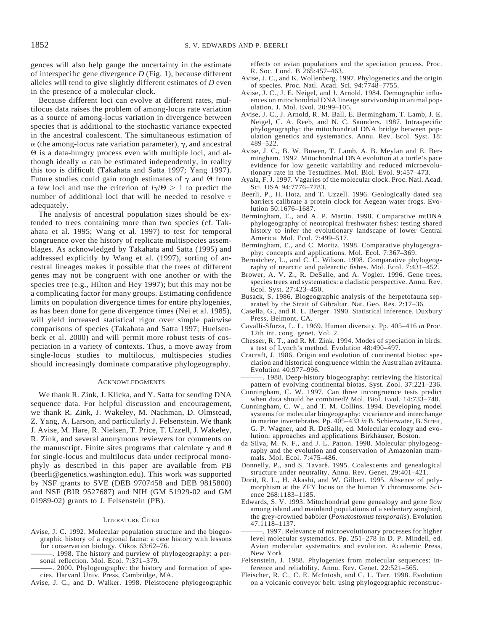gences will also help gauge the uncertainty in the estimate of interspecific gene divergence *D* (Fig. 1), because different alleles will tend to give slightly different estimates of *D* even in the presence of a molecular clock.

Because different loci can evolve at different rates, multilocus data raises the problem of among-locus rate variation as a source of among-locus variation in divergence between species that is additional to the stochastic variance expected in the ancestral coalescent. The simultaneous estimation of  $\alpha$  (the among-locus rate variation parameter),  $\gamma$ , and ancestral Q is a data-hungry process even with multiple loci, and although ideally  $\alpha$  can be estimated independently, in reality this too is difficult (Takahata and Satta 1997; Yang 1997). Future studies could gain rough estimates of  $\gamma$  and  $\Theta$  from a few loci and use the criterion of  $l\gamma/\Theta > 1$  to predict the number of additional loci that will be needed to resolve  $\tau$ adequately.

The analysis of ancestral population sizes should be extended to trees containing more than two species (cf. Takahata et al. 1995; Wang et al. 1997) to test for temporal congruence over the history of replicate multispecies assemblages. As acknowledged by Takahata and Satta (1995) and addressed explicitly by Wang et al. (1997), sorting of ancestral lineages makes it possible that the trees of different genes may not be congruent with one another or with the species tree (e.g., Hilton and Hey 1997); but this may not be a complicating factor for many groups. Estimating confidence limits on population divergence times for entire phylogenies, as has been done for gene divergence times (Nei et al. 1985), will yield increased statistical rigor over simple pairwise comparisons of species (Takahata and Satta 1997; Huelsenbeck et al. 2000) and will permit more robust tests of cospeciation in a variety of contexts. Thus, a move away from single-locus studies to multilocus, multispecies studies should increasingly dominate comparative phylogeography.

#### ACKNOWLEDGMENTS

We thank R. Zink, J. Klicka, and Y. Satta for sending DNA sequence data. For helpful discussion and encouragement, we thank R. Zink, J. Wakeley, M. Nachman, D. Olmstead, Z. Yang, A. Larson, and particularly J. Felsenstein. We thank J. Avise, M. Hare, R. Nielsen, T. Price, T. Uzzell, J. Wakeley, R. Zink, and several anonymous reviewers for comments on the manuscript. Finite sites programs that calculate  $\gamma$  and  $\theta$ for single-locus and multilocus data under reciprocal monophyly as described in this paper are available from PB (beerli@genetics.washington.edu). This work was supported by NSF grants to SVE (DEB 9707458 and DEB 9815800) and NSF (BIR 9527687) and NIH (GM 51929-02 and GM 01989-02) grants to J. Felsenstein (PB).

#### LITERATURE CITED

- Avise, J. C. 1992. Molecular population structure and the biogeographic history of a regional fauna: a case history with lessons for conservation biology. Oikos 63:62–76.
- . 1998. The history and purview of phylogeography: a personal reflection. Mol. Ecol. 7:371–379.
- -. 2000. Phylogeography: the history and formation of species. Harvard Univ. Press, Cambridge, MA.
- Avise, J. C., and D. Walker. 1998. Pleistocene phylogeographic

effects on avian populations and the speciation process. Proc. R. Soc. Lond. B 265:457–463.

- Avise, J. C., and K. Wollenberg. 1997. Phylogenetics and the origin of species. Proc. Natl. Acad. Sci. 94:7748–7755.
- Avise, J. C., J. E. Neigel, and J. Arnold. 1984. Demographic influences on mitochondrial DNA lineage survivorship in animal population. J. Mol. Evol. 20:99–105.
- Avise, J. C., J. Arnold, R. M. Ball, E. Bermingham, T. Lamb, J. E. Neigel, C. A. Reeb, and N. C. Saunders. 1987. Intraspecific phylogeography: the mitochondrial DNA bridge between population genetics and systematics. Annu. Rev. Ecol. Syst. 18: 489–522.
- Avise, J. C., B. W. Bowen, T. Lamb, A. B. Meylan and E. Bermingham. 1992. Mitochondrial DNA evolution at a turtle's pace evidence for low genetic variability and reduced microevolutionary rate in the Testudines. Mol. Biol. Evol. 9:457–473.
- Ayala, F. J. 1997. Vagaries of the molecular clock. Proc. Natl. Acad. Sci. USA 94:7776–7783.
- Beerli, P., H. Hotz, and T. Uzzell. 1996. Geologically dated sea barriers calibrate a protein clock for Aegean water frogs. Evolution 50:1676–1687.
- Bermingham, E., and A. P. Martin. 1998. Comparative mtDNA phylogeography of neotropical freshwater fishes: testing shared history to infer the evolutionary landscape of lower Central America. Mol. Ecol. 7:499–517.
- Bermingham, E., and C. Moritz. 1998. Comparative phylogeography: concepts and applications. Mol. Ecol. 7:367–369.
- Bernatchez, L., and C. C. Wilson. 1998. Comparative phylogeography of nearctic and palearctic fishes. Mol. Ecol. 7:431–452.
- Brower, A. V. Z., R. DeSalle, and A. Vogler. 1996. Gene trees, species trees and systematics: a cladistic perspective. Annu. Rev. Ecol. Syst. 27:423–450.
- Busack, S. 1986. Biogeographic analysis of the herpetofauna separated by the Strait of Gibraltar. Nat. Geo. Res. 2:17–36.
- Casella, G., and R. L. Berger. 1990. Statistical inference. Duxbury Press, Belmont, CA.
- Cavalli-Sforza, L. L. 1969. Human diversity. Pp. 405–416 *in* Proc. 12th int. cong. genet. Vol. 2.
- Chesser, R. T., and R. M. Zink. 1994. Modes of speciation in birds: a test of Lynch's method. Evolution 48:490–497.
- Cracraft, J. 1986. Origin and evolution of continental biotas: speciation and historical congruence within the Australian avifauna. Evolution 40:977–996.
- -. 1988. Deep-history biogeography: retrieving the historical pattern of evolving continental biotas. Syst. Zool. 37:221–236.
- Cunningham, C. W. 1997. Can three incongruence tests predict when data should be combined? Mol. Biol. Evol. 14:733–740.
- Cunningham, C. W., and T. M. Collins. 1994. Developing model systems for molecular biogeography: vicariance and interchange in marine invertebrates. Pp. 405–433 *in* B. Schierwater, B. Streit, G. P. Wagner, and R. DeSalle, ed. Molecular ecology and evolution: approaches and applications Birkhäuser, Boston.
- da Silva, M. N. F., and J. L. Patton. 1998. Molecular phylogeography and the evolution and conservation of Amazonian mammals. Mol. Ecol. 7:475–486.
- Donnelly, P., and S. Tavaré. 1995. Coalescents and genealogical structure under neutrality. Annu. Rev. Genet. 29:401–421.
- Dorit, R. L., H. Akashi, and W. Gilbert. 1995. Absence of polymorphism at the ZFY locus on the human Y chromosome. Science 268:1183–1185.
- Edwards, S. V. 1993. Mitochondrial gene genealogy and gene flow among island and mainland populations of a sedentary songbird, the grey-crowned babbler (*Pomatostomus temporalis*). Evolution 47:1118–1137.
- ———. 1997. Relevance of microevolutionary processes for higher level molecular systematics. Pp. 251–278 in D. P. Mindell, ed. Avian molecular systematics and evolution. Academic Press, New York.
- Felsenstein, J. 1988. Phylogenies from molecular sequences: inference and reliability. Annu. Rev. Genet. 22:521–565.
- Fleischer, R. C., C. E. McIntosh, and C. L. Tarr. 1998. Evolution on a volcanic conveyor belt: using phylogeographic reconstruc-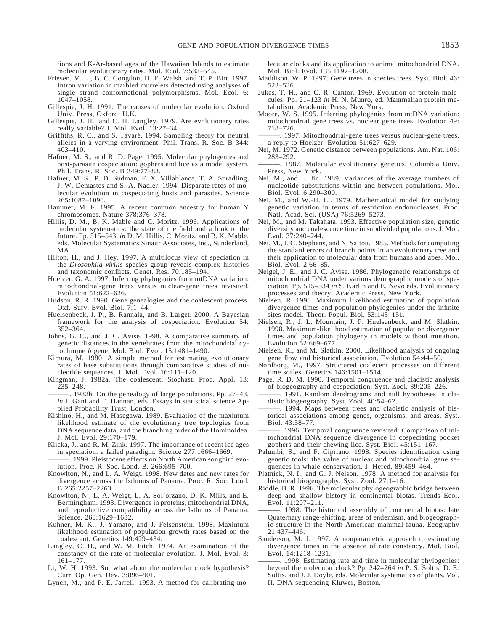tions and K-Ar-based ages of the Hawaiian Islands to estimate molecular evolutionary rates. Mol. Ecol. 7:533–545.

- Friesen, V. L., B. C. Congdon, H. E. Walsh, and T. P. Birt. 1997. Intron variation in marbled murrelets detected using analyses of single strand conformational polymorphisms. Mol. Ecol. 6: 1047–1058.
- Gillespie, J. H. 1991. The causes of molecular evolution. Oxford Univ. Press, Oxford, U.K.
- Gillespie, J. H., and C. H. Langley. 1979. Are evolutionary rates really variable? J. Mol. Evol. 13:27–34.
- Griffiths, R. C., and S. Tavaré. 1994. Sampling theory for neutral alleles in a varying environment. Phil. Trans. R. Soc. B 344: 403–410.
- Hafner, M. S., and R. D. Page. 1995. Molecular phylogenies and host-parasite cospeciation: gophers and lice as a model system. Phil. Trans. R. Soc. B 349:77–83.
- Hafner, M. S., P. D. Sudman, F. X. Villablanca, T. A. Spradling, J. W. Demastes and S. A. Nadler. 1994. Disparate rates of molecular evolution in cospeciating hosts and parasites. Science 265:1087–1090.
- Hammer, M. F. 1995. A recent common ancestry for human Y chromosomes. Nature 378:376–378.
- Hillis, D. M., B. K. Mable and C. Moritz. 1996. Applications of molecular systematics: the state of the field and a look to the future. Pp. 515–543. *in* D. M. Hillis, C. Moritz, and B. K. Mable, eds. Molecular Systematics Sinaur Associates, Inc., Sunderland, MA.
- Hilton, H., and J. Hey. 1997. A multilocus view of speciation in the *Drosophila virilis* species group reveals complex histories and taxonomic conflicts. Genet. Res. 70:185–194.
- Hoelzer, G. A. 1997. Inferring phylogenies from mtDNA variation: mitochondrial-gene trees versus nuclear-gene trees revisited. Evolution 51:622–626.
- Hudson, R. R. 1990. Gene genealogies and the coalescent process. Oxf. Surv. Evol. Biol. 7:1–44.
- Huelsenbeck, J. P., B. Rannala, and B. Larget. 2000. A Bayesian framework for the analysis of cospeciation. Evolution 54: 352–364.
- Johns, G. C., and J. C. Avise. 1998. A comparative summary of genetic distances in the vertebrates from the mitochondrial cytochrome *b* gene. Mol. Biol. Evol. 15:1481–1490.
- Kimura, M. 1980. A simple method for estimating evolutionary rates of base substitutions through comparative studies of nucleotide sequences. J. Mol. Evol. 16:111–120.
- Kingman, J. 1982a. The coalescent. Stochast. Proc. Appl. 13: 235–248.
- -. 1982b. On the genealogy of large populations. Pp. 27-43. *in* J. Gani and E. Hannan, eds. Essays in statistical science Applied Probability Trust, London.
- Kishino, H., and M. Hasegawa. 1989. Evaluation of the maximum likelihood estimate of the evolutionary tree topologies from DNA sequence data, and the branching order of the Hominoidea. J. Mol. Evol. 29:170–179.
- Klicka, J., and R. M. Zink. 1997. The importance of recent ice ages in speciation: a failed paradigm. Science 277:1666–1669.
- . 1999. Pleistocene effects on North American songbird evolution. Proc. R. Soc. Lond. B. 266:695–700.
- Knowlton, N., and L. A. Weigt. 1998. New dates and new rates for divergence across the Isthmus of Panama. Proc. R. Soc. Lond. B 265:2257–2263.
- Knowlton, N., L. A. Weigt, L. A. Sol'orzano, D. K. Mills, and E. Bermingham. 1993. Divergence in proteins, mitochondrial DNA, and reproductive compatibility across the Isthmus of Panama. Science. 260:1629–1632.
- Kuhner, M. K., J. Yamato, and J. Felsenstein. 1998. Maximum likelihood estimation of population growth rates based on the coalescent. Genetics 149:429–434.
- Langley, C. H., and W. M. Fitch. 1974. An examination of the constancy of the rate of molecular evolution. J. Mol. Evol. 3: 161–177.
- Li, W. H. 1993. So, what about the molecular clock hypothesis? Curr. Op. Gen. Dev. 3:896–901.
- Lynch, M., and P. E. Jarrell. 1993. A method for calibrating mo-

lecular clocks and its application to animal mitochondrial DNA. Mol. Biol. Evol. 135:1197–1208.

- Maddison, W. P. 1997. Gene trees in species trees. Syst. Biol. 46: 523–536.
- Jukes, T. H., and C. R. Cantor. 1969. Evolution of protein molecules. Pp. 21–123 *in* H. N. Munro, ed. Mammalian protein metabolism. Academic Press, New York.
- Moore, W. S. 1995. Inferring phylogenies from mtDNA variation: mitochondrial gene trees vs. nuclear gene trees. Evolution 49: 718–726.
- -. 1997. Mitochondrial-gene trees versus nuclear-gene trees, a reply to Hoelzer. Evolution 51:627–629.
- Nei, M. 1972. Genetic distance between populations. Am. Nat. 106: 283–292.
- -. 1987. Molecular evolutionary genetics. Columbia Univ. Press, New York.
- Nei, M., and L. Jin. 1989. Variances of the average numbers of nucleotide substitutions within and between populations. Mol. Biol. Evol. 6:290–300.
- Nei, M., and W.-H. Li. 1979. Mathematical model for studying genetic variation in terms of restriction endonucleases. Proc. Natl. Acad. Sci. (USA) 76:5269–5273.
- Nei, M., and M. Takahata. 1993. Effective population size, genetic diversity and coalescence time in subdivided populations. J. Mol. Evol. 37:240–244.
- Nei, M., J. C. Stephens, and N. Saitou. 1985. Methods for computing the standard errors of branch points in an evolutionary tree and their application to molecular data from humans and apes. Mol. Biol. Evol. 2:66–85.
- Neigel, J. E., and J. C. Avise. 1986. Phylogenetic relationships of mitochondrial DNA under various demographic models of speciation. Pp. 515–534 *in* S. Karlin and E. Nevo eds. Evolutionary processes and theory. Academic Press, New York.
- Nielsen, R. 1998. Maximum likelihood estimation of population divergence times and population phylogenies under the infinite sites model. Theor. Popul. Biol. 53:143–151.
- Nielsen, R., J. L. Mountain, J. P. Huelsenbeck, and M. Slatkin. 1998. Maximum-likelihood estimation of population divergence times and population phylogeny in models without mutation. Evolution 52:669–677.
- Nielsen, R., and M. Slatkin. 2000. Likelihood analysis of ongoing gene flow and historical association. Evolution 54:44–50.
- Nordborg, M., 1997. Structured coalecent processes on different time scales. Genetics 146:1501–1514.
- Page, R. D. M. 1990. Temporal congruence and cladistic analysis of biogeography and cospeciation. Syst. Zool. 39:205–226.
- 1991. Random dendrograms and null hypotheses in cladistic biogeography. Syst. Zool. 40:54–62.
- ———. 1994. Maps between trees and cladistic analysis of historical associations among genes, organisms, and areas. Syst. Biol. 43:58–77.
- ———. 1996. Temporal congruence revisited: Comparison of mitochondrial DNA sequence divergence in cospeciating pocket gophers and their chewing lice. Syst. Biol. 45:151–167.
- Palumbi, S., and F. Cipriano. 1998. Species identification using genetic tools: the value of nuclear and mitochondrial gene sequences in whale conservation. J. Hered. 89:459–464.
- Platnick, N. I., and G. J. Nelson. 1978. A method for analysis for historical biogeography. Syst. Zool. 27:1–16.
- Riddle, B. R. 1996. The molecular phylogeographic bridge between deep and shallow history in continental biotas. Trends Ecol. Evol. 11:207–211.
- ———. 1998. The historical assembly of continental biotas: late Quaternary range-shifting, areas of endemism, and biogeographic structure in the North American mammal fauna. Ecography 21:437–446.
- Sanderson, M. J. 1997. A nonparametric approach to estimating divergence times in the absence of rate constancy. Mol. Biol. Evol. 14:1218–1231.
- ———. 1998. Estimating rate and time in molecular phylogenies: beyond the molecular clock? Pp. 242–264 *in* P. S. Soltis, D. E. Soltis, and J. J. Doyle, eds. Molecular systematics of plants. Vol. II. DNA sequencing Kluwer, Boston.